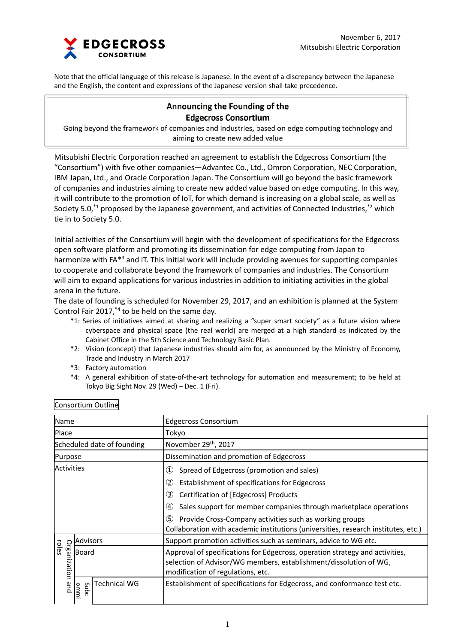

Note that the official language of this release is Japanese. In the event of a discrepancy between the Japanese and the English, the content and expressions of the Japanese version shall take precedence.

# **Announcing the Founding of the Edgecross Consortium**

Going beyond the framework of companies and industries, based on edge computing technology and aiming to create new added value

Mitsubishi Electric Corporation reached an agreement to establish the Edgecross Consortium (the "Consortium") with five other companies—Advantec Co., Ltd., Omron Corporation, NEC Corporation, IBM Japan, Ltd., and Oracle Corporation Japan. The Consortium will go beyond the basic framework of companies and industries aiming to create new added value based on edge computing. In this way, it will contribute to the promotion of IoT, for which demand is increasing on a global scale, as well as Society 5.0,<sup>\*1</sup> proposed by the Japanese government, and activities of Connected Industries,<sup>\*2</sup> which tie in to Society 5.0.

Initial activities of the Consortium will begin with the development of specifications for the Edgecross open software platform and promoting its dissemination for edge computing from Japan to harmonize with FA<sup>\*3</sup> and IT. This initial work will include providing avenues for supporting companies to cooperate and collaborate beyond the framework of companies and industries. The Consortium will aim to expand applications for various industries in addition to initiating activities in the global arena in the future.

The date of founding is scheduled for November 29, 2017, and an exhibition is planned at the System Control Fair 2017,\*4 to be held on the same day.

- \*1: Series of initiatives aimed at sharing and realizing a "super smart society" as a future vision where cyberspace and physical space (the real world) are merged at a high standard as indicated by the Cabinet Office in the 5th Science and Technology Basic Plan.
- \*2: Vision (concept) that Japanese industries should aim for, as announced by the Ministry of Economy, Trade and Industry in March 2017
- \*3: Factory automation
- \*4: A general exhibition of state‐of‐the‐art technology for automation and measurement; to be held at Tokyo Big Sight Nov. 29 (Wed) – Dec. 1 (Fri).

| Name                       |                 |                     | <b>Edgecross Consortium</b>                                                                                                                                                                                                                                                                                                                                                                                |
|----------------------------|-----------------|---------------------|------------------------------------------------------------------------------------------------------------------------------------------------------------------------------------------------------------------------------------------------------------------------------------------------------------------------------------------------------------------------------------------------------------|
| Place                      |                 |                     | Tokyo                                                                                                                                                                                                                                                                                                                                                                                                      |
| Scheduled date of founding |                 |                     | November 29 <sup>th</sup> , 2017                                                                                                                                                                                                                                                                                                                                                                           |
| Purpose                    |                 |                     | Dissemination and promotion of Edgecross                                                                                                                                                                                                                                                                                                                                                                   |
| Activities                 |                 |                     | Spread of Edgecross (promotion and sales)<br>(1)<br>(2)<br>Establishment of specifications for Edgecross<br>(3)<br>Certification of [Edgecross] Products<br>Sales support for member companies through marketplace operations<br>$\left( 4\right)$<br>(5)<br>Provide Cross-Company activities such as working groups<br>Collaboration with academic institutions (universities, research institutes, etc.) |
| Organization<br>roles      | <b>Advisors</b> |                     | Support promotion activities such as seminars, advice to WG etc.                                                                                                                                                                                                                                                                                                                                           |
|                            | Board           |                     | Approval of specifications for Edgecross, operation strategy and activities,<br>selection of Advisor/WG members, establishment/dissolution of WG,<br>modification of regulations, etc.                                                                                                                                                                                                                     |
| and                        | Subc<br>ommi    | <b>Technical WG</b> | Establishment of specifications for Edgecross, and conformance test etc.                                                                                                                                                                                                                                                                                                                                   |

### Consortium Outline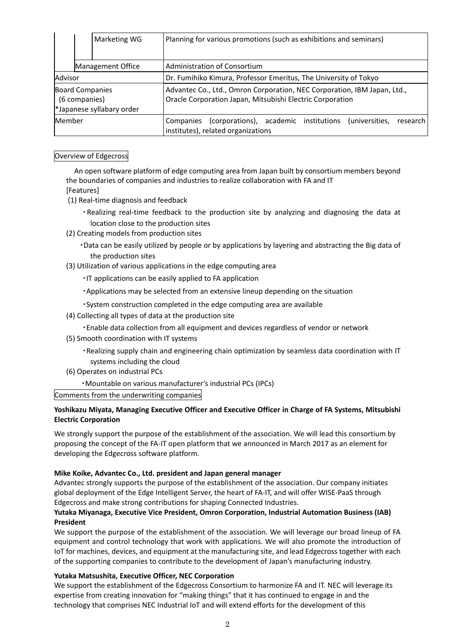|                                                                      | Marketing WG      | Planning for various promotions (such as exhibitions and seminars)                                                                    |  |  |
|----------------------------------------------------------------------|-------------------|---------------------------------------------------------------------------------------------------------------------------------------|--|--|
|                                                                      | Management Office | <b>Administration of Consortium</b>                                                                                                   |  |  |
| Advisor                                                              |                   | Dr. Fumihiko Kimura, Professor Emeritus, The University of Tokyo                                                                      |  |  |
| <b>Board Companies</b><br>(6 companies)<br>*Japanese syllabary order |                   | Advantec Co., Ltd., Omron Corporation, NEC Corporation, IBM Japan, Ltd.,<br>Oracle Corporation Japan, Mitsubishi Electric Corporation |  |  |
| Member                                                               |                   | research<br>(corporations), academic institutions<br>(universities,<br>Companies<br>institutes), related organizations                |  |  |

### Overview of Edgecross

An open software platform of edge computing area from Japan built by consortium members beyond the boundaries of companies and industries to realize collaboration with FA and IT [Features]

- (1) Real‐time diagnosis and feedback
	- ・Realizing real‐time feedback to the production site by analyzing and diagnosing the data at location close to the production sites
- (2) Creating models from production sites
	- ・Data can be easily utilized by people or by applications by layering and abstracting the Big data of the production sites
- (3) Utilization of various applications in the edge computing area
	- ・IT applications can be easily applied to FA application
	- ・Applications may be selected from an extensive lineup depending on the situation
	- ・System construction completed in the edge computing area are available
- (4) Collecting all types of data at the production site
	- ・Enable data collection from all equipment and devices regardless of vendor or network
- (5) Smooth coordination with IT systems
	- ・Realizing supply chain and engineering chain optimization by seamless data coordination with IT systems including the cloud
- (6) Operates on industrial PCs
	- ・Mountable on various manufacturer's industrial PCs (IPCs)

Comments from the underwriting companies

#### **Yoshikazu Miyata, Managing Executive Officer and Executive Officer in Charge of FA Systems, Mitsubishi Electric Corporation**

We strongly support the purpose of the establishment of the association. We will lead this consortium by proposing the concept of the FA‐IT open platform that we announced in March 2017 as an element for developing the Edgecross software platform.

#### **Mike Koike, Advantec Co., Ltd. president and Japan general manager**

Advantec strongly supports the purpose of the establishment of the association. Our company initiates global deployment of the Edge Intelligent Server, the heart of FA‐IT, and will offer WISE‐PaaS through Edgecross and make strong contributions for shaping Connected Industries.

## **Yutaka Miyanaga, Executive Vice President, Omron Corporation, Industrial Automation Business (IAB) President**

We support the purpose of the establishment of the association. We will leverage our broad lineup of FA equipment and control technology that work with applications. We will also promote the introduction of IoT for machines, devices, and equipment at the manufacturing site, and lead Edgecross together with each of the supporting companies to contribute to the development of Japan's manufacturing industry.

#### **Yutaka Matsushita, Executive Officer, NEC Corporation**

We support the establishment of the Edgecross Consortium to harmonize FA and IT. NEC will leverage its expertise from creating innovation for "making things" that it has continued to engage in and the technology that comprises NEC Industrial IoT and will extend efforts for the development of this